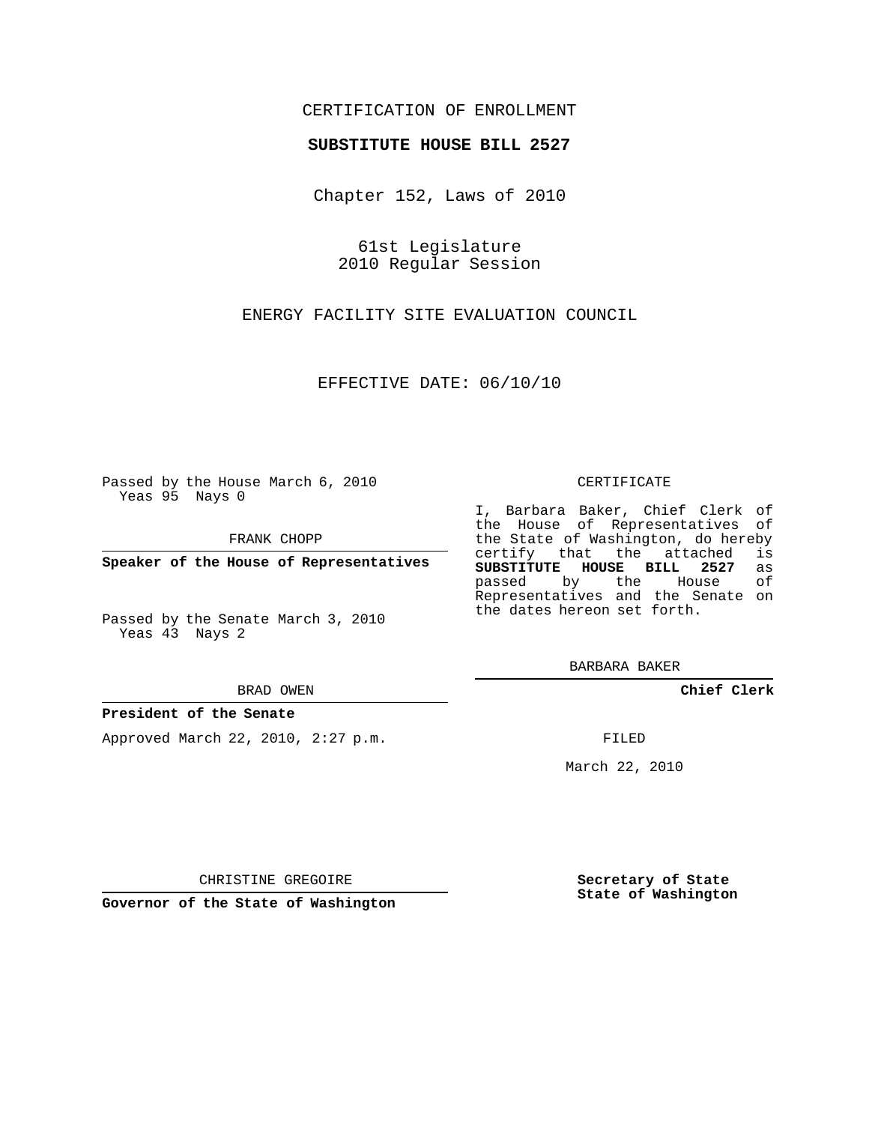## CERTIFICATION OF ENROLLMENT

### **SUBSTITUTE HOUSE BILL 2527**

Chapter 152, Laws of 2010

61st Legislature 2010 Regular Session

ENERGY FACILITY SITE EVALUATION COUNCIL

EFFECTIVE DATE: 06/10/10

Passed by the House March 6, 2010 Yeas 95 Nays 0

FRANK CHOPP

**Speaker of the House of Representatives**

Passed by the Senate March 3, 2010 Yeas 43 Nays 2

BRAD OWEN

### **President of the Senate**

Approved March 22, 2010, 2:27 p.m.

CERTIFICATE

I, Barbara Baker, Chief Clerk of the House of Representatives of the State of Washington, do hereby<br>certify that the attached is certify that the attached **SUBSTITUTE HOUSE BILL 2527** as passed by the House Representatives and the Senate on the dates hereon set forth.

BARBARA BAKER

**Chief Clerk**

FILED

March 22, 2010

**Secretary of State State of Washington**

CHRISTINE GREGOIRE

**Governor of the State of Washington**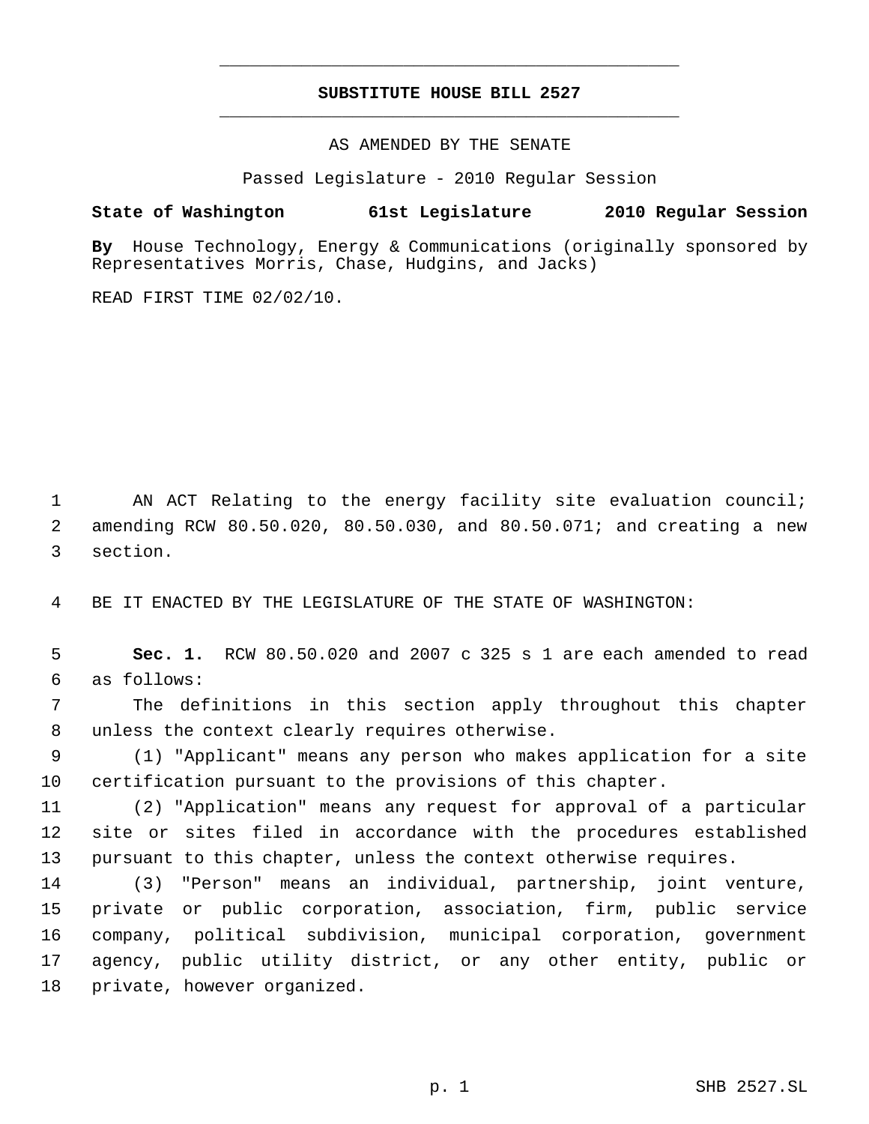# **SUBSTITUTE HOUSE BILL 2527** \_\_\_\_\_\_\_\_\_\_\_\_\_\_\_\_\_\_\_\_\_\_\_\_\_\_\_\_\_\_\_\_\_\_\_\_\_\_\_\_\_\_\_\_\_

\_\_\_\_\_\_\_\_\_\_\_\_\_\_\_\_\_\_\_\_\_\_\_\_\_\_\_\_\_\_\_\_\_\_\_\_\_\_\_\_\_\_\_\_\_

AS AMENDED BY THE SENATE

Passed Legislature - 2010 Regular Session

## **State of Washington 61st Legislature 2010 Regular Session**

**By** House Technology, Energy & Communications (originally sponsored by Representatives Morris, Chase, Hudgins, and Jacks)

READ FIRST TIME 02/02/10.

1 AN ACT Relating to the energy facility site evaluation council; amending RCW 80.50.020, 80.50.030, and 80.50.071; and creating a new section.

BE IT ENACTED BY THE LEGISLATURE OF THE STATE OF WASHINGTON:

 **Sec. 1.** RCW 80.50.020 and 2007 c 325 s 1 are each amended to read as follows:

 The definitions in this section apply throughout this chapter unless the context clearly requires otherwise.

 (1) "Applicant" means any person who makes application for a site certification pursuant to the provisions of this chapter.

 (2) "Application" means any request for approval of a particular site or sites filed in accordance with the procedures established pursuant to this chapter, unless the context otherwise requires.

 (3) "Person" means an individual, partnership, joint venture, private or public corporation, association, firm, public service company, political subdivision, municipal corporation, government agency, public utility district, or any other entity, public or private, however organized.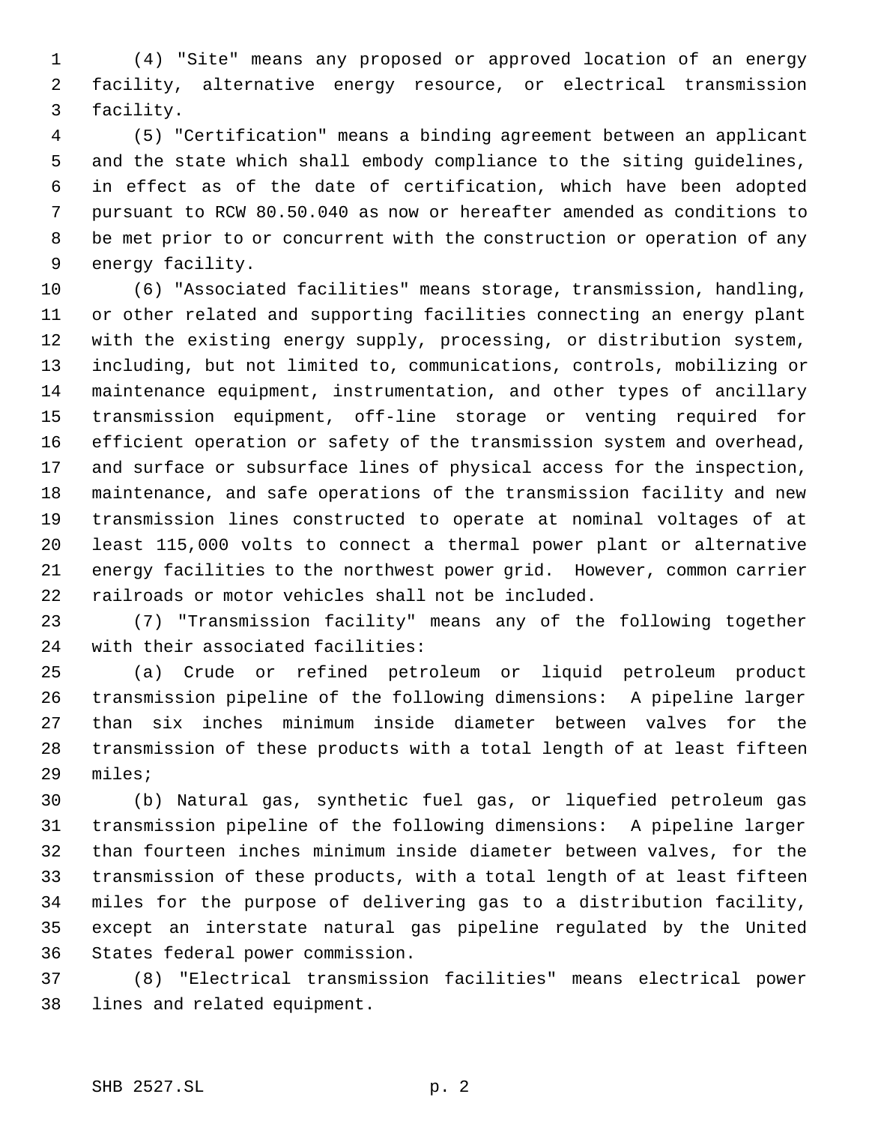(4) "Site" means any proposed or approved location of an energy facility, alternative energy resource, or electrical transmission facility.

 (5) "Certification" means a binding agreement between an applicant and the state which shall embody compliance to the siting guidelines, in effect as of the date of certification, which have been adopted pursuant to RCW 80.50.040 as now or hereafter amended as conditions to be met prior to or concurrent with the construction or operation of any energy facility.

 (6) "Associated facilities" means storage, transmission, handling, or other related and supporting facilities connecting an energy plant with the existing energy supply, processing, or distribution system, including, but not limited to, communications, controls, mobilizing or maintenance equipment, instrumentation, and other types of ancillary transmission equipment, off-line storage or venting required for efficient operation or safety of the transmission system and overhead, and surface or subsurface lines of physical access for the inspection, maintenance, and safe operations of the transmission facility and new transmission lines constructed to operate at nominal voltages of at least 115,000 volts to connect a thermal power plant or alternative energy facilities to the northwest power grid. However, common carrier railroads or motor vehicles shall not be included.

 (7) "Transmission facility" means any of the following together with their associated facilities:

 (a) Crude or refined petroleum or liquid petroleum product transmission pipeline of the following dimensions: A pipeline larger than six inches minimum inside diameter between valves for the transmission of these products with a total length of at least fifteen miles;

 (b) Natural gas, synthetic fuel gas, or liquefied petroleum gas transmission pipeline of the following dimensions: A pipeline larger than fourteen inches minimum inside diameter between valves, for the transmission of these products, with a total length of at least fifteen miles for the purpose of delivering gas to a distribution facility, except an interstate natural gas pipeline regulated by the United States federal power commission.

 (8) "Electrical transmission facilities" means electrical power lines and related equipment.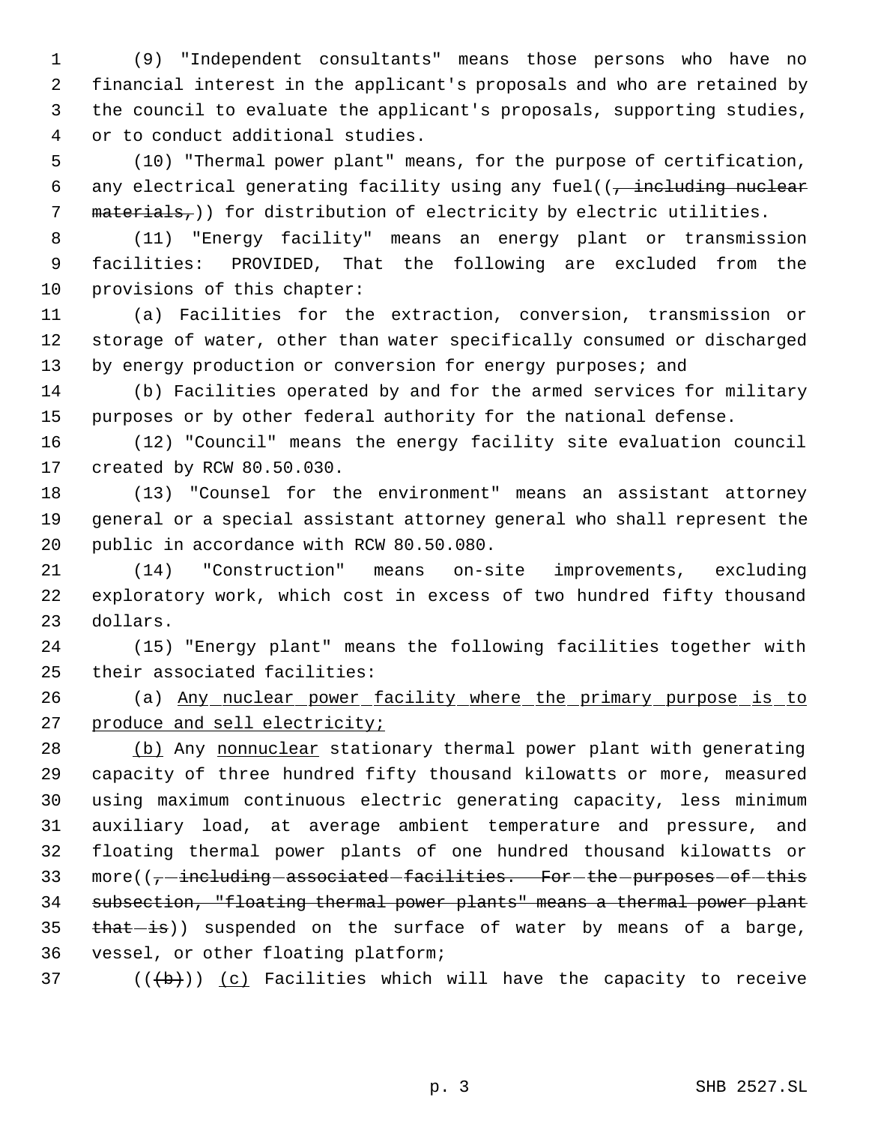(9) "Independent consultants" means those persons who have no financial interest in the applicant's proposals and who are retained by the council to evaluate the applicant's proposals, supporting studies, or to conduct additional studies.

 (10) "Thermal power plant" means, for the purpose of certification, 6 any electrical generating facility using any fuel( $(-$ including nuclear 7 materials,)) for distribution of electricity by electric utilities.

 (11) "Energy facility" means an energy plant or transmission facilities: PROVIDED, That the following are excluded from the provisions of this chapter:

 (a) Facilities for the extraction, conversion, transmission or storage of water, other than water specifically consumed or discharged 13 by energy production or conversion for energy purposes; and

 (b) Facilities operated by and for the armed services for military purposes or by other federal authority for the national defense.

 (12) "Council" means the energy facility site evaluation council created by RCW 80.50.030.

 (13) "Counsel for the environment" means an assistant attorney general or a special assistant attorney general who shall represent the public in accordance with RCW 80.50.080.

 (14) "Construction" means on-site improvements, excluding exploratory work, which cost in excess of two hundred fifty thousand dollars.

 (15) "Energy plant" means the following facilities together with their associated facilities:

 (a) Any nuclear power facility where the primary purpose is to 27 produce and sell electricity;

28 (b) Any nonnuclear stationary thermal power plant with generating capacity of three hundred fifty thousand kilowatts or more, measured using maximum continuous electric generating capacity, less minimum auxiliary load, at average ambient temperature and pressure, and floating thermal power plants of one hundred thousand kilowatts or 33 more( $(-$ -including associated facilities. For the purposes of this subsection, "floating thermal power plants" means a thermal power plant  $\theta$   $\theta$  at  $\theta$  is suspended on the surface of water by means of a barge, vessel, or other floating platform;

37 ( $(\overline{a})$  ( $\overline{b}$ )) (c) Facilities which will have the capacity to receive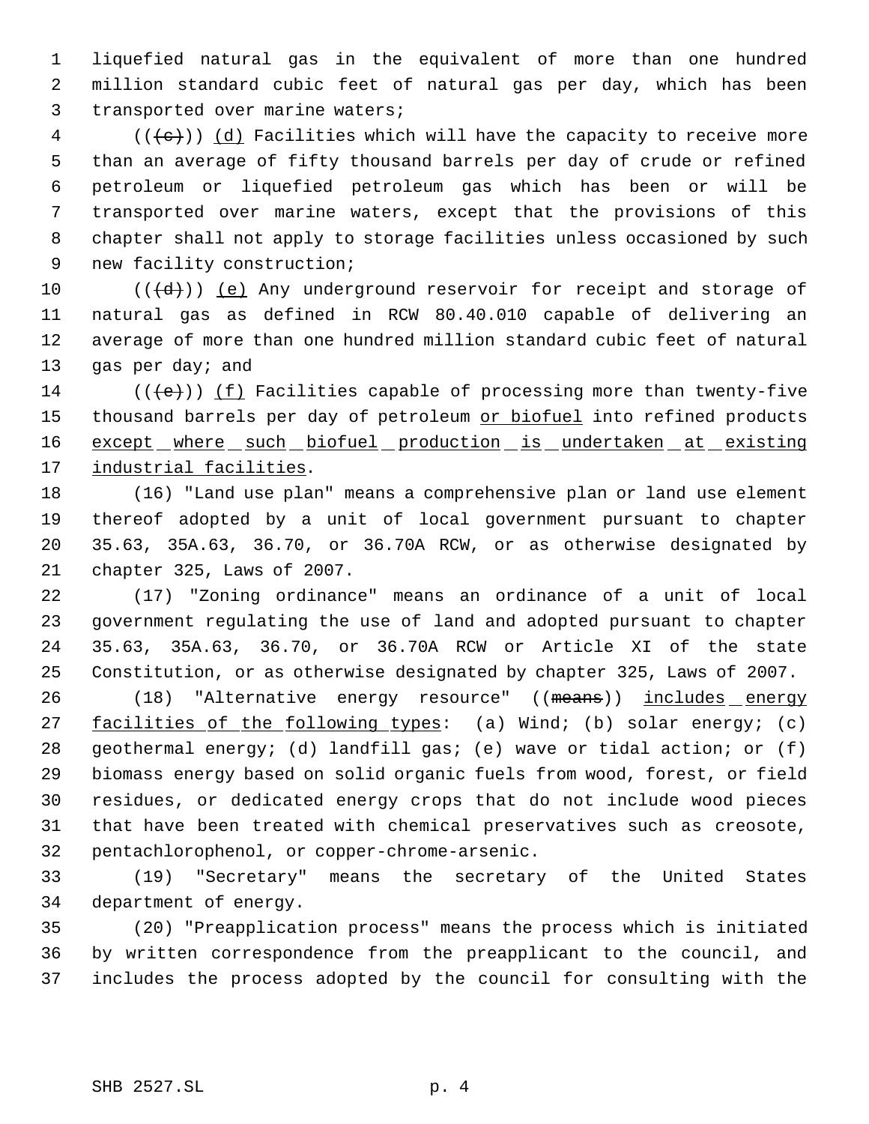liquefied natural gas in the equivalent of more than one hundred million standard cubic feet of natural gas per day, which has been transported over marine waters;

 (( $\left(\frac{1}{1}e\right)$ ) (d) Facilities which will have the capacity to receive more than an average of fifty thousand barrels per day of crude or refined petroleum or liquefied petroleum gas which has been or will be transported over marine waters, except that the provisions of this chapter shall not apply to storage facilities unless occasioned by such new facility construction;

 $((\{d\})$  (e) Any underground reservoir for receipt and storage of natural gas as defined in RCW 80.40.010 capable of delivering an average of more than one hundred million standard cubic feet of natural 13 gas per day; and

14 ( $(\langle e \rangle)$ ) (f) Facilities capable of processing more than twenty-five 15 thousand barrels per day of petroleum or biofuel into refined products 16 except where such biofuel production is undertaken at existing 17 industrial facilities.

 (16) "Land use plan" means a comprehensive plan or land use element thereof adopted by a unit of local government pursuant to chapter 35.63, 35A.63, 36.70, or 36.70A RCW, or as otherwise designated by chapter 325, Laws of 2007.

 (17) "Zoning ordinance" means an ordinance of a unit of local government regulating the use of land and adopted pursuant to chapter 35.63, 35A.63, 36.70, or 36.70A RCW or Article XI of the state Constitution, or as otherwise designated by chapter 325, Laws of 2007.

26 (18) "Alternative energy resource" ((means)) includes energy 27 facilities of the following types: (a) Wind; (b) solar energy; (c) geothermal energy; (d) landfill gas; (e) wave or tidal action; or (f) biomass energy based on solid organic fuels from wood, forest, or field residues, or dedicated energy crops that do not include wood pieces that have been treated with chemical preservatives such as creosote, pentachlorophenol, or copper-chrome-arsenic.

 (19) "Secretary" means the secretary of the United States department of energy.

 (20) "Preapplication process" means the process which is initiated by written correspondence from the preapplicant to the council, and includes the process adopted by the council for consulting with the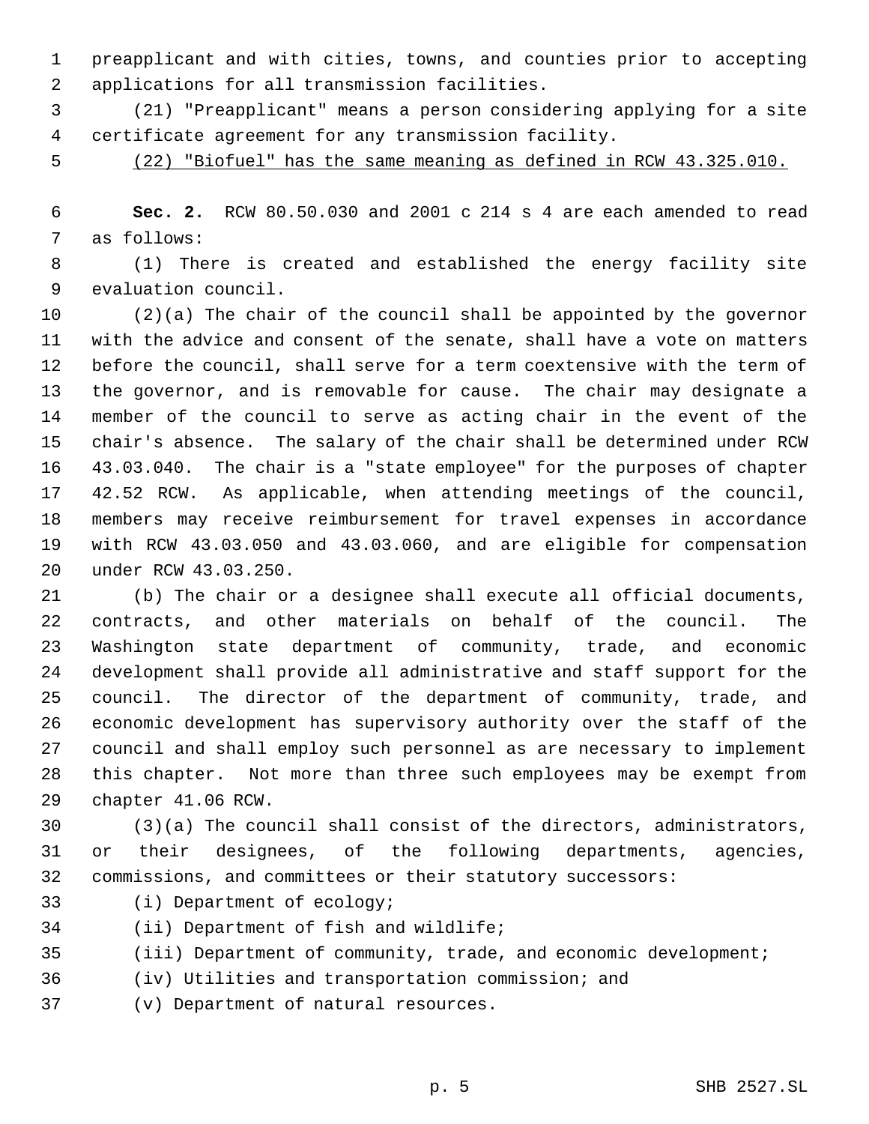preapplicant and with cities, towns, and counties prior to accepting applications for all transmission facilities.

 (21) "Preapplicant" means a person considering applying for a site certificate agreement for any transmission facility.

(22) "Biofuel" has the same meaning as defined in RCW 43.325.010.

 **Sec. 2.** RCW 80.50.030 and 2001 c 214 s 4 are each amended to read as follows:

 (1) There is created and established the energy facility site evaluation council.

 (2)(a) The chair of the council shall be appointed by the governor with the advice and consent of the senate, shall have a vote on matters before the council, shall serve for a term coextensive with the term of the governor, and is removable for cause. The chair may designate a member of the council to serve as acting chair in the event of the chair's absence. The salary of the chair shall be determined under RCW 43.03.040. The chair is a "state employee" for the purposes of chapter 42.52 RCW. As applicable, when attending meetings of the council, members may receive reimbursement for travel expenses in accordance with RCW 43.03.050 and 43.03.060, and are eligible for compensation under RCW 43.03.250.

 (b) The chair or a designee shall execute all official documents, contracts, and other materials on behalf of the council. The Washington state department of community, trade, and economic development shall provide all administrative and staff support for the council. The director of the department of community, trade, and economic development has supervisory authority over the staff of the council and shall employ such personnel as are necessary to implement this chapter. Not more than three such employees may be exempt from chapter 41.06 RCW.

 (3)(a) The council shall consist of the directors, administrators, or their designees, of the following departments, agencies, commissions, and committees or their statutory successors:

(i) Department of ecology;

(ii) Department of fish and wildlife;

(iii) Department of community, trade, and economic development;

(iv) Utilities and transportation commission; and

(v) Department of natural resources.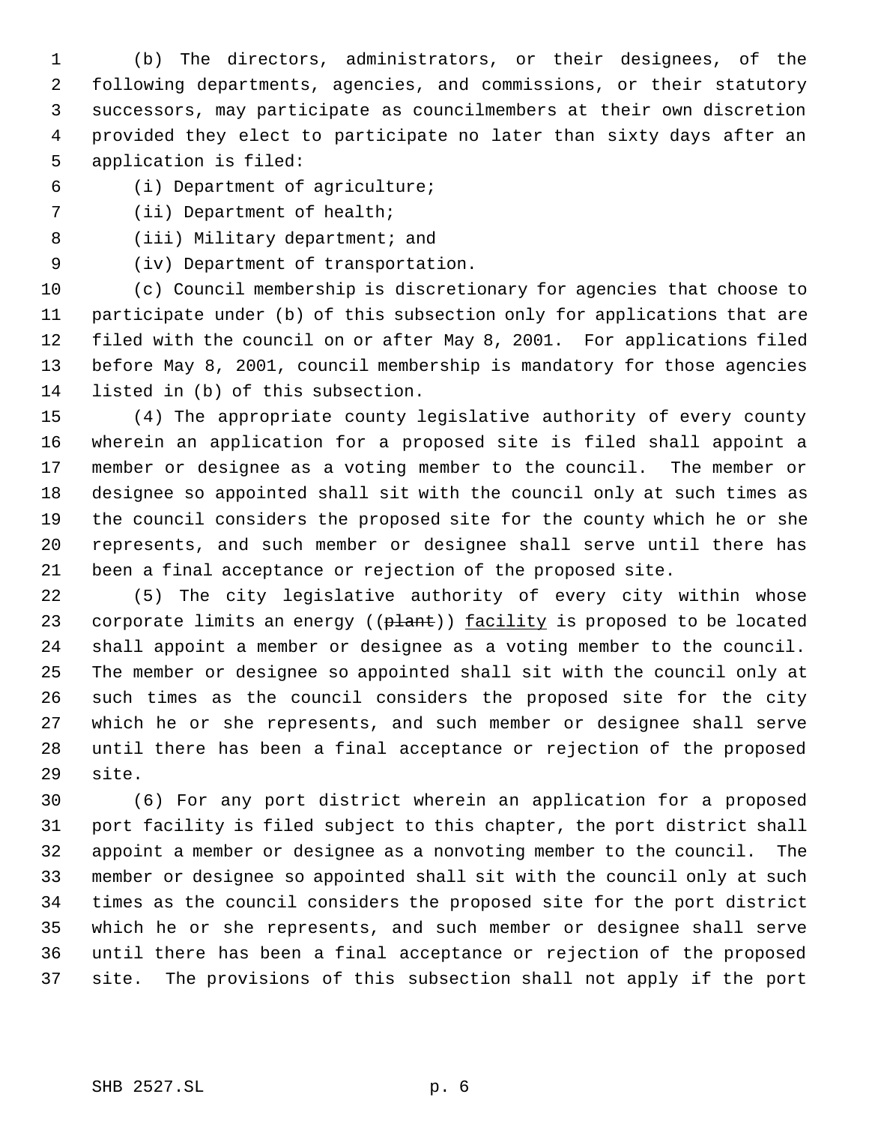(b) The directors, administrators, or their designees, of the following departments, agencies, and commissions, or their statutory successors, may participate as councilmembers at their own discretion provided they elect to participate no later than sixty days after an application is filed:

- (i) Department of agriculture;
- (ii) Department of health;
- 8 (iii) Military department; and
- (iv) Department of transportation.

 (c) Council membership is discretionary for agencies that choose to participate under (b) of this subsection only for applications that are filed with the council on or after May 8, 2001. For applications filed before May 8, 2001, council membership is mandatory for those agencies listed in (b) of this subsection.

 (4) The appropriate county legislative authority of every county wherein an application for a proposed site is filed shall appoint a member or designee as a voting member to the council. The member or designee so appointed shall sit with the council only at such times as the council considers the proposed site for the county which he or she represents, and such member or designee shall serve until there has been a final acceptance or rejection of the proposed site.

 (5) The city legislative authority of every city within whose 23 corporate limits an energy ((plant)) facility is proposed to be located shall appoint a member or designee as a voting member to the council. The member or designee so appointed shall sit with the council only at such times as the council considers the proposed site for the city which he or she represents, and such member or designee shall serve until there has been a final acceptance or rejection of the proposed site.

 (6) For any port district wherein an application for a proposed port facility is filed subject to this chapter, the port district shall appoint a member or designee as a nonvoting member to the council. The member or designee so appointed shall sit with the council only at such times as the council considers the proposed site for the port district which he or she represents, and such member or designee shall serve until there has been a final acceptance or rejection of the proposed site. The provisions of this subsection shall not apply if the port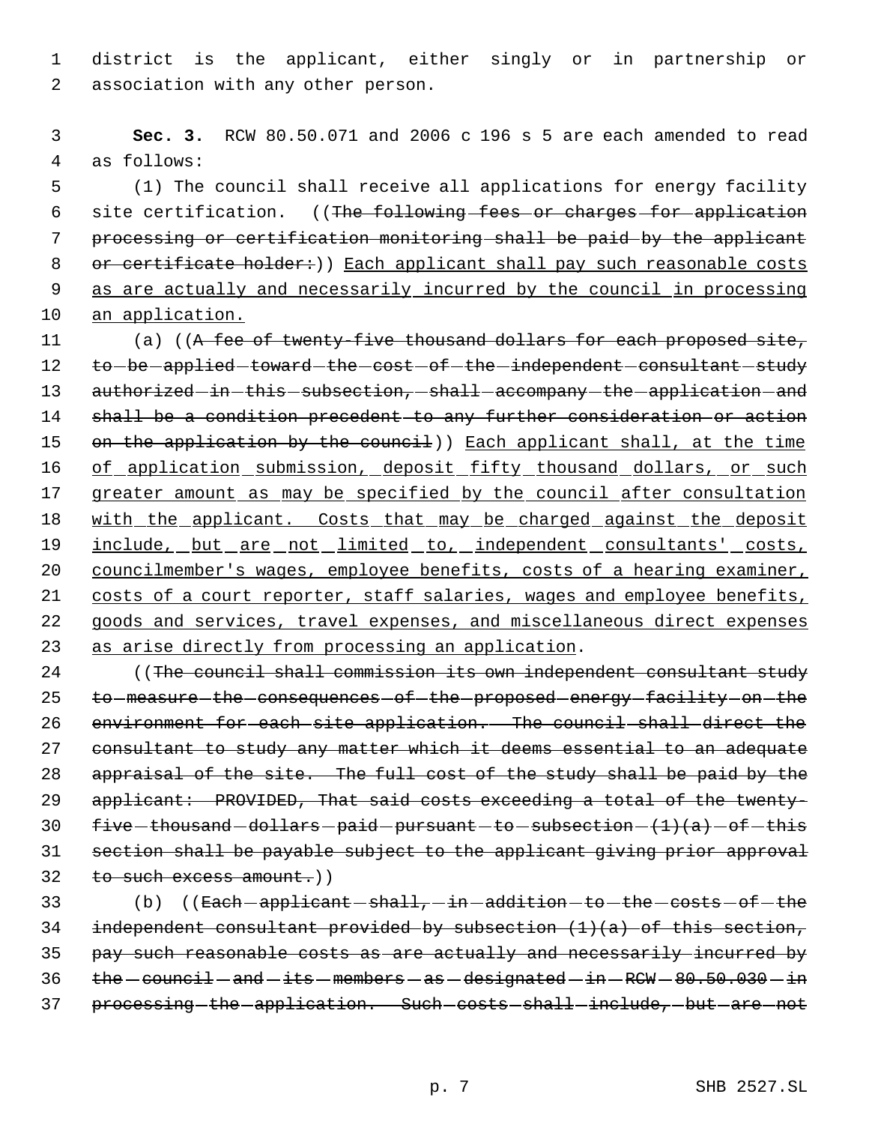1 district is the applicant, either singly or in partnership or 2 association with any other person.

 3 **Sec. 3.** RCW 80.50.071 and 2006 c 196 s 5 are each amended to read 4 as follows:

 5 (1) The council shall receive all applications for energy facility 6 site certification. ((The following fees or charges for application 7 processing or certification monitoring shall be paid by the applicant 8 or certificate holder:)) Each applicant shall pay such reasonable costs 9 as are actually and necessarily incurred by the council in processing 10 an application.

11 (a) ((A fee of twenty-five thousand dollars for each proposed site, 12 to-be-applied-toward-the-cost-of-the-independent-consultant-study 13 authorized-in-this-subsection, shall-accompany-the-application-and 14 shall be a condition precedent to any further consideration or action 15 on the application by the council)) Each applicant shall, at the time 16 of application submission, deposit fifty thousand dollars, or such 17 greater amount as may be specified by the council after consultation 18 with the applicant. Costs that may be charged against the deposit 19 include, but are not limited to, independent consultants' costs, 20 councilmember's wages, employee benefits, costs of a hearing examiner, 21 costs of a court reporter, staff salaries, wages and employee benefits, 22 goods and services, travel expenses, and miscellaneous direct expenses 23 as arise directly from processing an application.

24 ((The council shall commission its own independent consultant study 25 to measure the consequences of the proposed energy facility on the environment for each site application. The council shall direct the consultant to study any matter which it deems essential to an adequate 28 appraisal of the site. The full cost of the study shall be paid by the applicant: PROVIDED, That said costs exceeding a total of the twenty- $five-thousand-dollars-paid-pursuant-to-subsection-(1)(a)-of-this$  section shall be payable subject to the applicant giving prior approval to such excess amount.))

33 (b) ((Each -applicant - shall, -in -addition -to -the -costs -of -the 34 independent consultant provided by subsection  $(1)(a)$  of this section, 35 pay such reasonable costs as are actually and necessarily incurred by  $36$  the  $-$  council  $-$  and  $-$  its  $-$  members  $-$  as  $-$  designated  $-$  in  $-$  RCW  $-$  80.50.030  $-$  in 37 processing-the-application. Such-costs-shall-include, but are not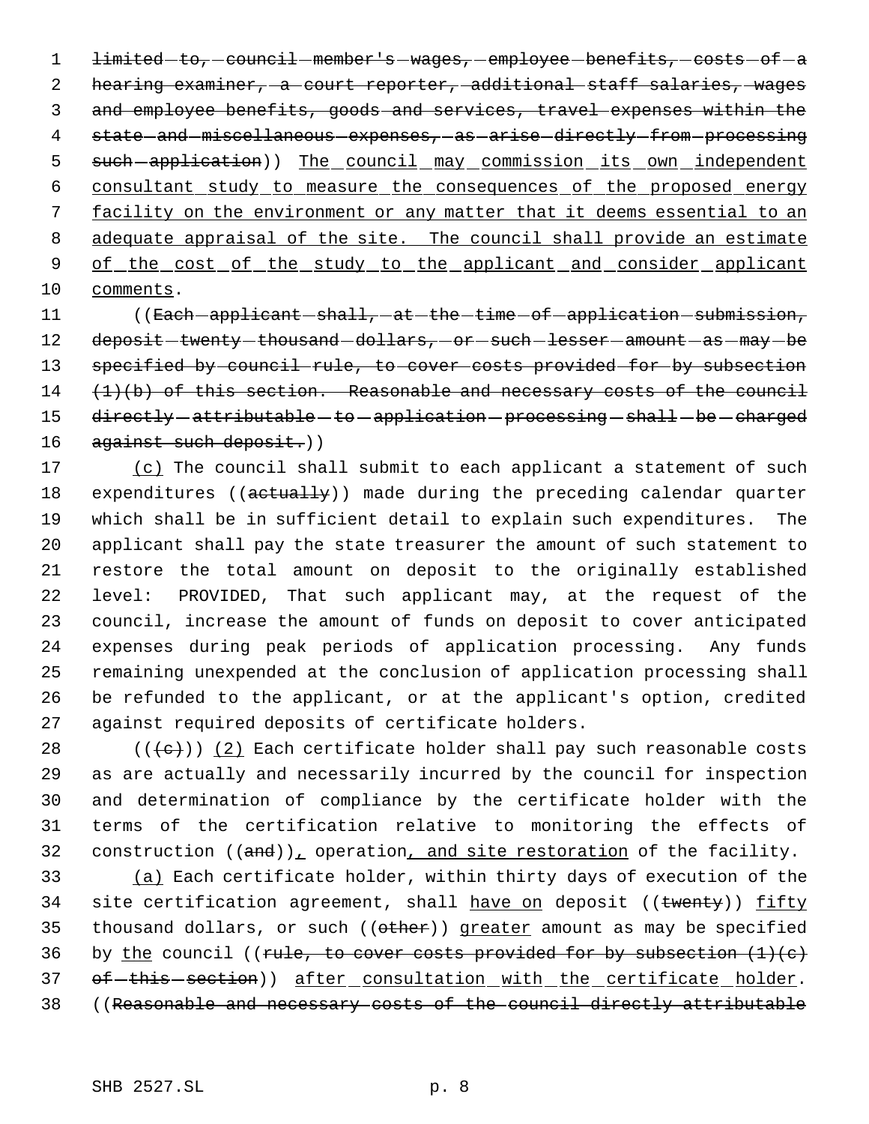1 <del>limited to, council member's wages, employee benefits, costs of a</del> 2 hearing examiner, a court reporter, additional staff salaries, wages 3 and employee benefits, goods and services, travel expenses within the 4 state-and-miscellaneous-expenses, as arise-directly-from-processing 5 such-application)) The council may commission its own independent 6 consultant study to measure the consequences of the proposed energy 7 facility on the environment or any matter that it deems essential to an 8 adequate appraisal of the site. The council shall provide an estimate 9 of the cost of the study to the applicant and consider applicant 10 comments.

11 ((Each - applicant - shall, - at - the - time - of - application - submission, 12 deposit-twenty-thousand-dollars, or such-lesser-amount-as-may-be 13 specified by council rule, to cover costs provided for by subsection  $14$   $(1)(b)$  of this section. Reasonable and necessary costs of the council 15 directly - attributable - to - application - processing - shall - be - charged 16 against such deposit.))

17 (c) The council shall submit to each applicant a statement of such 18 expenditures ((actually)) made during the preceding calendar quarter which shall be in sufficient detail to explain such expenditures. The applicant shall pay the state treasurer the amount of such statement to restore the total amount on deposit to the originally established level: PROVIDED, That such applicant may, at the request of the council, increase the amount of funds on deposit to cover anticipated expenses during peak periods of application processing. Any funds remaining unexpended at the conclusion of application processing shall be refunded to the applicant, or at the applicant's option, credited against required deposits of certificate holders.

 $((+e))$   $(2)$  Each certificate holder shall pay such reasonable costs as are actually and necessarily incurred by the council for inspection and determination of compliance by the certificate holder with the terms of the certification relative to monitoring the effects of 32 construction  $((and))_L$  operation, and site restoration of the facility.

33 (a) Each certificate holder, within thirty days of execution of the 34 site certification agreement, shall have on deposit ((twenty)) fifty 35 thousand dollars, or such ((other)) greater amount as may be specified 36 by the council ((rule, to cover costs provided for by subsection  $(1)(e)$ 37 of -this -section)) after consultation with the certificate holder. 38 ((Reasonable and necessary costs of the council directly attributable